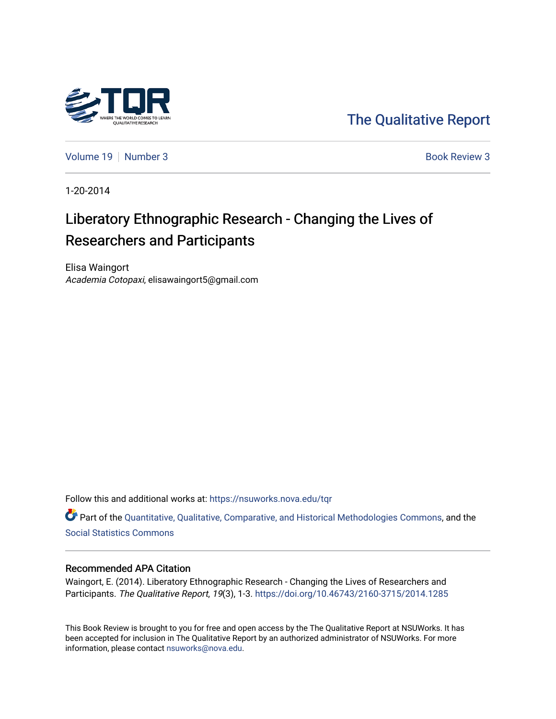

[The Qualitative Report](https://nsuworks.nova.edu/tqr) 

[Volume 19](https://nsuworks.nova.edu/tqr/vol19) [Number 3](https://nsuworks.nova.edu/tqr/vol19/iss3) Book Review 3

1-20-2014

# Liberatory Ethnographic Research - Changing the Lives of Researchers and Participants

Elisa Waingort Academia Cotopaxi, elisawaingort5@gmail.com

Follow this and additional works at: [https://nsuworks.nova.edu/tqr](https://nsuworks.nova.edu/tqr?utm_source=nsuworks.nova.edu%2Ftqr%2Fvol19%2Fiss3%2F3&utm_medium=PDF&utm_campaign=PDFCoverPages) 

Part of the [Quantitative, Qualitative, Comparative, and Historical Methodologies Commons,](http://network.bepress.com/hgg/discipline/423?utm_source=nsuworks.nova.edu%2Ftqr%2Fvol19%2Fiss3%2F3&utm_medium=PDF&utm_campaign=PDFCoverPages) and the [Social Statistics Commons](http://network.bepress.com/hgg/discipline/1275?utm_source=nsuworks.nova.edu%2Ftqr%2Fvol19%2Fiss3%2F3&utm_medium=PDF&utm_campaign=PDFCoverPages) 

#### Recommended APA Citation

Waingort, E. (2014). Liberatory Ethnographic Research - Changing the Lives of Researchers and Participants. The Qualitative Report, 19(3), 1-3. <https://doi.org/10.46743/2160-3715/2014.1285>

This Book Review is brought to you for free and open access by the The Qualitative Report at NSUWorks. It has been accepted for inclusion in The Qualitative Report by an authorized administrator of NSUWorks. For more information, please contact [nsuworks@nova.edu.](mailto:nsuworks@nova.edu)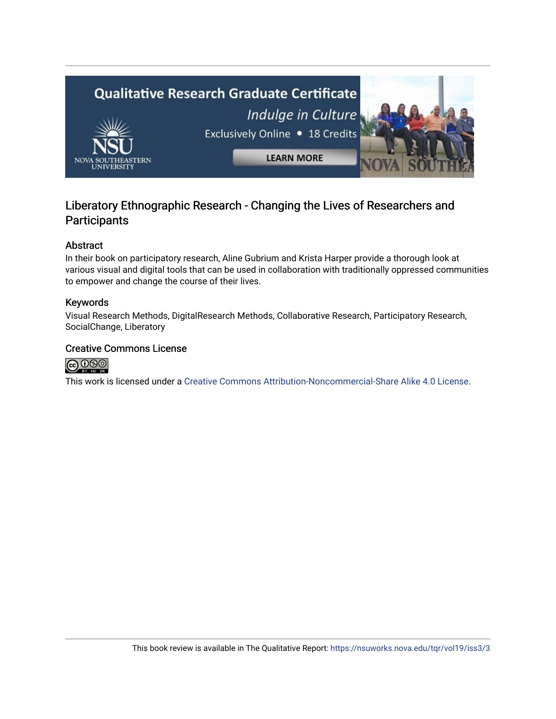

### Liberatory Ethnographic Research - Changing the Lives of Researchers and **Participants**

#### Abstract

In their book on participatory research, Aline Gubrium and Krista Harper provide a thorough look at various visual and digital tools that can be used in collaboration with traditionally oppressed communities to empower and change the course of their lives.

#### Keywords

Visual Research Methods, DigitalResearch Methods, Collaborative Research, Participatory Research, SocialChange, Liberatory

#### Creative Commons License



This work is licensed under a [Creative Commons Attribution-Noncommercial-Share Alike 4.0 License](https://creativecommons.org/licenses/by-nc-sa/4.0/).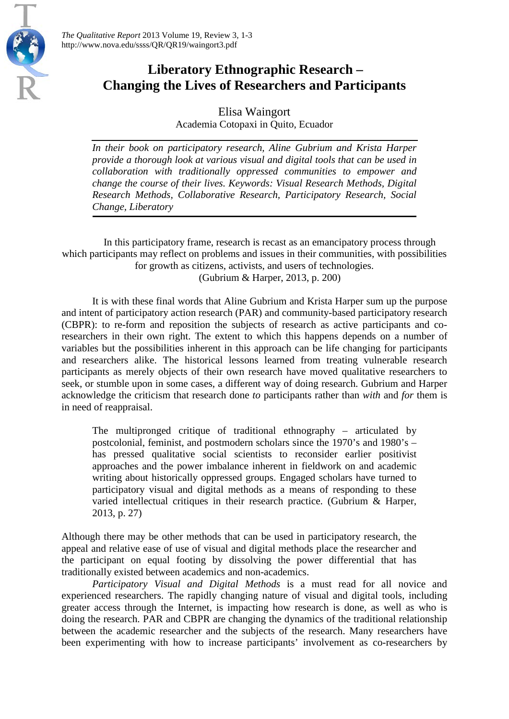

## **Liberatory Ethnographic Research – Changing the Lives of Researchers and Participants**

Elisa Waingort Academia Cotopaxi in Quito, Ecuador

*In their book on participatory research, Aline Gubrium and Krista Harper provide a thorough look at various visual and digital tools that can be used in collaboration with traditionally oppressed communities to empower and change the course of their lives. Keywords: Visual Research Methods, Digital Research Methods, Collaborative Research, Participatory Research, Social Change, Liberatory*

In this participatory frame, research is recast as an emancipatory process through which participants may reflect on problems and issues in their communities, with possibilities for growth as citizens, activists, and users of technologies. (Gubrium & Harper, 2013, p. 200)

It is with these final words that Aline Gubrium and Krista Harper sum up the purpose and intent of participatory action research (PAR) and community-based participatory research (CBPR): to re-form and reposition the subjects of research as active participants and coresearchers in their own right. The extent to which this happens depends on a number of variables but the possibilities inherent in this approach can be life changing for participants and researchers alike. The historical lessons learned from treating vulnerable research participants as merely objects of their own research have moved qualitative researchers to seek, or stumble upon in some cases, a different way of doing research. Gubrium and Harper acknowledge the criticism that research done *to* participants rather than *with* and *for* them is in need of reappraisal.

The multipronged critique of traditional ethnography – articulated by postcolonial, feminist, and postmodern scholars since the 1970's and 1980's – has pressed qualitative social scientists to reconsider earlier positivist approaches and the power imbalance inherent in fieldwork on and academic writing about historically oppressed groups. Engaged scholars have turned to participatory visual and digital methods as a means of responding to these varied intellectual critiques in their research practice. (Gubrium & Harper, 2013, p. 27)

Although there may be other methods that can be used in participatory research, the appeal and relative ease of use of visual and digital methods place the researcher and the participant on equal footing by dissolving the power differential that has traditionally existed between academics and non-academics.

*Participatory Visual and Digital Methods* is a must read for all novice and experienced researchers. The rapidly changing nature of visual and digital tools, including greater access through the Internet, is impacting how research is done, as well as who is doing the research. PAR and CBPR are changing the dynamics of the traditional relationship between the academic researcher and the subjects of the research. Many researchers have been experimenting with how to increase participants' involvement as co-researchers by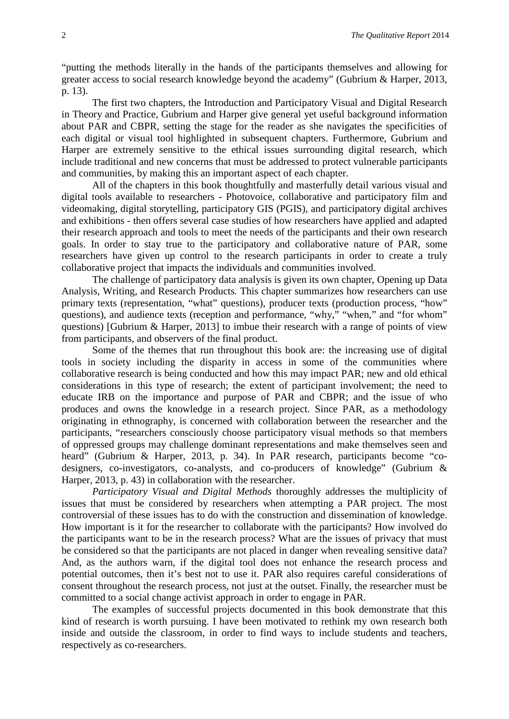"putting the methods literally in the hands of the participants themselves and allowing for greater access to social research knowledge beyond the academy" (Gubrium & Harper, 2013, p. 13).

The first two chapters, the Introduction and Participatory Visual and Digital Research in Theory and Practice, Gubrium and Harper give general yet useful background information about PAR and CBPR, setting the stage for the reader as she navigates the specificities of each digital or visual tool highlighted in subsequent chapters. Furthermore, Gubrium and Harper are extremely sensitive to the ethical issues surrounding digital research, which include traditional and new concerns that must be addressed to protect vulnerable participants and communities, by making this an important aspect of each chapter.

All of the chapters in this book thoughtfully and masterfully detail various visual and digital tools available to researchers - Photovoice, collaborative and participatory film and videomaking, digital storytelling, participatory GIS (PGIS), and participatory digital archives and exhibitions - then offers several case studies of how researchers have applied and adapted their research approach and tools to meet the needs of the participants and their own research goals. In order to stay true to the participatory and collaborative nature of PAR, some researchers have given up control to the research participants in order to create a truly collaborative project that impacts the individuals and communities involved.

The challenge of participatory data analysis is given its own chapter, Opening up Data Analysis, Writing, and Research Products*.* This chapter summarizes how researchers can use primary texts (representation, "what" questions), producer texts (production process, "how" questions), and audience texts (reception and performance, "why," "when," and "for whom" questions) [Gubrium & Harper, 2013] to imbue their research with a range of points of view from participants, and observers of the final product.

Some of the themes that run throughout this book are: the increasing use of digital tools in society including the disparity in access in some of the communities where collaborative research is being conducted and how this may impact PAR; new and old ethical considerations in this type of research; the extent of participant involvement; the need to educate IRB on the importance and purpose of PAR and CBPR; and the issue of who produces and owns the knowledge in a research project. Since PAR, as a methodology originating in ethnography, is concerned with collaboration between the researcher and the participants, "researchers consciously choose participatory visual methods so that members of oppressed groups may challenge dominant representations and make themselves seen and heard" (Gubrium & Harper, 2013, p. 34). In PAR research, participants become "codesigners, co-investigators, co-analysts, and co-producers of knowledge" (Gubrium & Harper, 2013, p. 43) in collaboration with the researcher.

*Participatory Visual and Digital Methods* thoroughly addresses the multiplicity of issues that must be considered by researchers when attempting a PAR project. The most controversial of these issues has to do with the construction and dissemination of knowledge. How important is it for the researcher to collaborate with the participants? How involved do the participants want to be in the research process? What are the issues of privacy that must be considered so that the participants are not placed in danger when revealing sensitive data? And, as the authors warn, if the digital tool does not enhance the research process and potential outcomes, then it's best not to use it. PAR also requires careful considerations of consent throughout the research process, not just at the outset. Finally, the researcher must be committed to a social change activist approach in order to engage in PAR.

The examples of successful projects documented in this book demonstrate that this kind of research is worth pursuing. I have been motivated to rethink my own research both inside and outside the classroom, in order to find ways to include students and teachers, respectively as co-researchers.